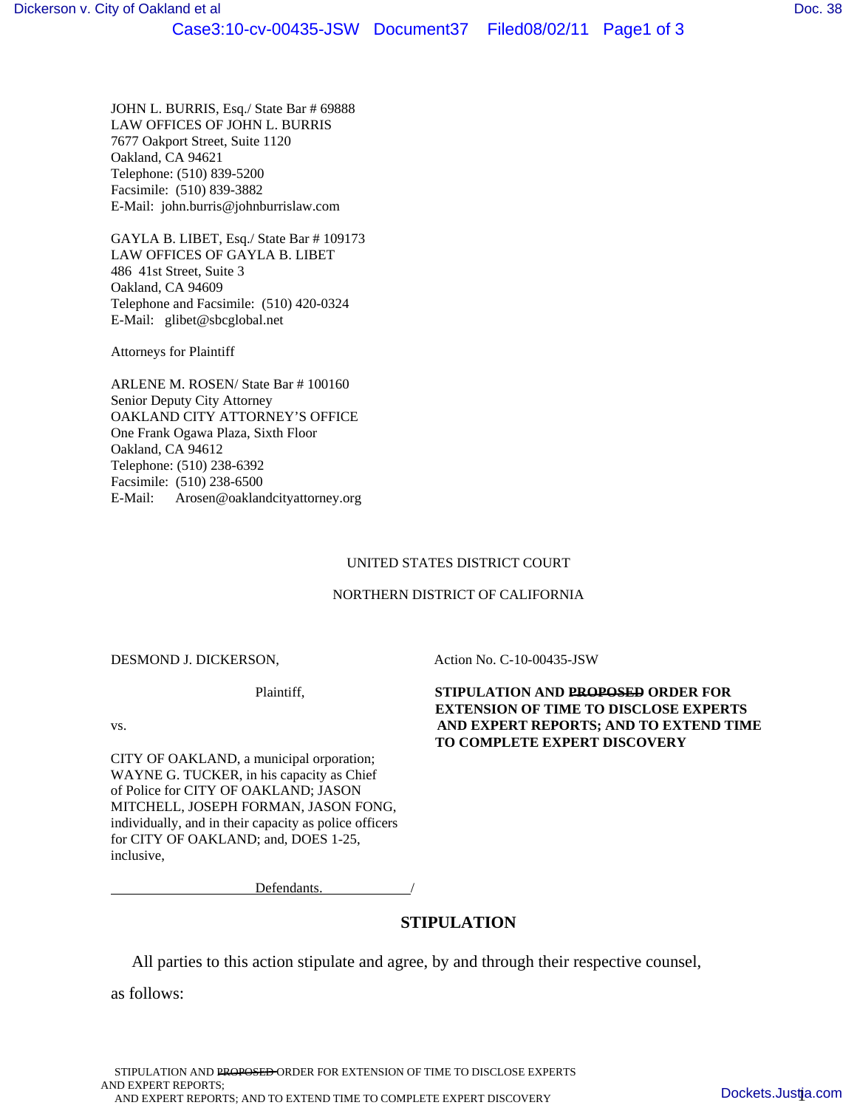JOHN L. BURRIS, Esq./ State Bar # 69888 LAW OFFICES OF JOHN L. BURRIS 7677 Oakport Street, Suite 1120 Oakland, CA 94621 Telephone: (510) 839-5200 Facsimile: (510) 839-3882 E-Mail: john.burris@johnburrislaw.com

GAYLA B. LIBET, Esq./ State Bar # 109173 LAW OFFICES OF GAYLA B. LIBET 486 41st Street, Suite 3 Oakland, CA 94609 Telephone and Facsimile: (510) 420-0324 E-Mail: glibet@sbcglobal.net

Attorneys for Plaintiff

ARLENE M. ROSEN/ State Bar # 100160 Senior Deputy City Attorney OAKLAND CITY ATTORNEY'S OFFICE One Frank Ogawa Plaza, Sixth Floor Oakland, CA 94612 Telephone: (510) 238-6392 Facsimile: (510) 238-6500 E-Mail: Arosen@oaklandcityattorney.org

#### UNITED STATES DISTRICT COURT

#### NORTHERN DISTRICT OF CALIFORNIA

DESMOND J. DICKERSON, Action No. C-10-00435-JSW

CITY OF OAKLAND, a municipal orporation; WAYNE G. TUCKER, in his capacity as Chief of Police for CITY OF OAKLAND; JASON MITCHELL, JOSEPH FORMAN, JASON FONG, individually, and in their capacity as police officers for CITY OF OAKLAND; and, DOES 1-25, inclusive,

Defendants.

## **STIPULATION**

All parties to this action stipulate and agree, by and through their respective counsel,

as follows:

STIPULATION AND PROPOSED ORDER FOR EXTENSION OF TIME TO DISCLOSE EXPERTS AND EXPERT REPORTS; AND EXPERT REPORTS; AND TO EXTEND TIME TO COMPLETE EXPERT DISCOVERY

### Plaintiff, **STIPULATION AND PROPOSED ORDER FOR EXTENSION OF TIME TO DISCLOSE EXPERTS** vs. **AND EXPERT REPORTS; AND TO EXTEND TIME TO COMPLETE EXPERT DISCOVERY**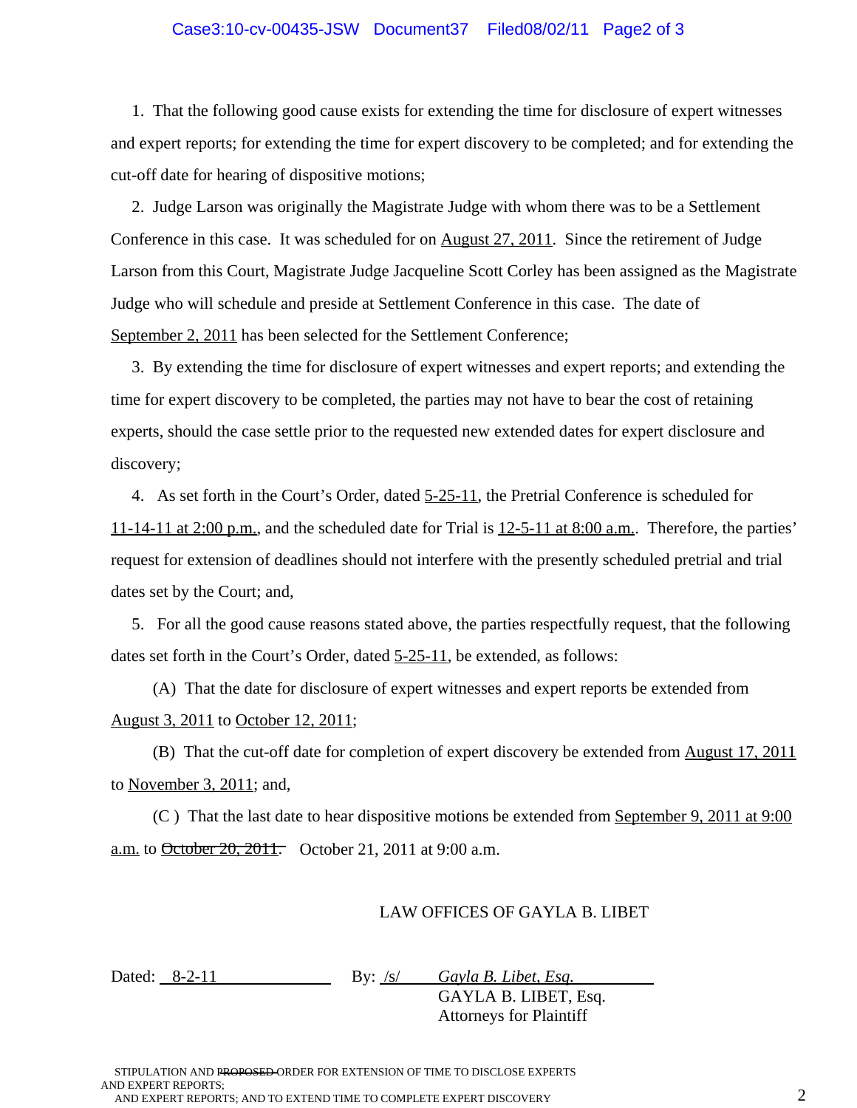### Case3:10-cv-00435-JSW Document37 Filed08/02/11 Page2 of 3

 1. That the following good cause exists for extending the time for disclosure of expert witnesses and expert reports; for extending the time for expert discovery to be completed; and for extending the cut-off date for hearing of dispositive motions;

 2. Judge Larson was originally the Magistrate Judge with whom there was to be a Settlement Conference in this case. It was scheduled for on August 27, 2011. Since the retirement of Judge Larson from this Court, Magistrate Judge Jacqueline Scott Corley has been assigned as the Magistrate Judge who will schedule and preside at Settlement Conference in this case. The date of September 2, 2011 has been selected for the Settlement Conference;

 3. By extending the time for disclosure of expert witnesses and expert reports; and extending the time for expert discovery to be completed, the parties may not have to bear the cost of retaining experts, should the case settle prior to the requested new extended dates for expert disclosure and discovery;

 4. As set forth in the Court's Order, dated 5-25-11, the Pretrial Conference is scheduled for  $11-14-11$  at 2:00 p.m., and the scheduled date for Trial is  $12-5-11$  at 8:00 a.m.. Therefore, the parties' request for extension of deadlines should not interfere with the presently scheduled pretrial and trial dates set by the Court; and,

 5. For all the good cause reasons stated above, the parties respectfully request, that the following dates set forth in the Court's Order, dated 5-25-11, be extended, as follows:

 (A) That the date for disclosure of expert witnesses and expert reports be extended from August 3, 2011 to October 12, 2011;

 (B) That the cut-off date for completion of expert discovery be extended from August 17, 2011 to November 3, 2011; and,

 (C ) That the last date to hear dispositive motions be extended from September 9, 2011 at 9:00 a.m. to **October 20, 2011**. October 21, 2011 at 9:00 a.m.

### LAW OFFICES OF GAYLA B. LIBET

Dated: 8-2-11 By: /s/ *Gayla B. Libet, Esq.* 

GAYLA B. LIBET, Esq. Attorneys for Plaintiff

STIPULATION AND PROPOSED ORDER FOR EXTENSION OF TIME TO DISCLOSE EXPERTS AND EXPERT REPORTS; AND EXPERT REPORTS; AND TO EXTEND TIME TO COMPLETE EXPERT DISCOVERY  $2$